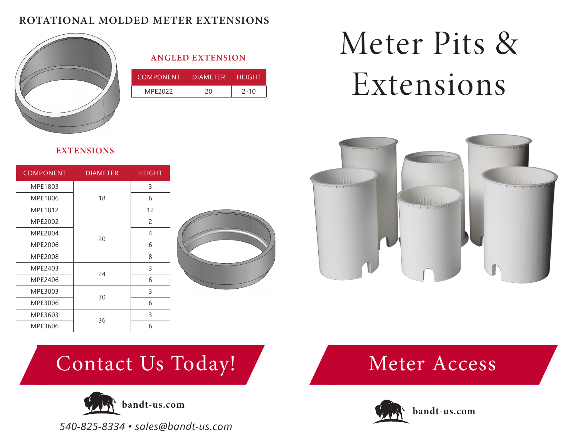#### **ROTATIONAL MOLDED METER EXTENSIONS**



#### **ANGLED EXTENSION**

| COMPONENT | DIAMFTFR. | HFIGHT   |
|-----------|-----------|----------|
| MPE2022   | 20        | $2 - 10$ |

# Meter Pits & Extensions



**EXTENSIONS**

| <b>COMPONENT</b> | <b>DIAMETER</b> | <b>HEIGHT</b> |  |
|------------------|-----------------|---------------|--|
| MPE1803          |                 | 3             |  |
| MPE1806          | 18              | 6             |  |
| MPE1812          |                 | 12            |  |
| MPE2002          | 20              | 2             |  |
| MPE2004          |                 | 4             |  |
| MPE2006          |                 | 6             |  |
| MPE2008          |                 | 8             |  |
| MPE2403          | 24              | 3             |  |
| MPE2406          |                 | 6             |  |
| MPE3003          |                 | 3             |  |
| MPE3006          | 30              | 6             |  |
| MPE3603          | 36              | 3             |  |
| MPE3606          |                 | 6             |  |



# Contact Us Today!



*540-825-8334 • sales@bandt-us.com*